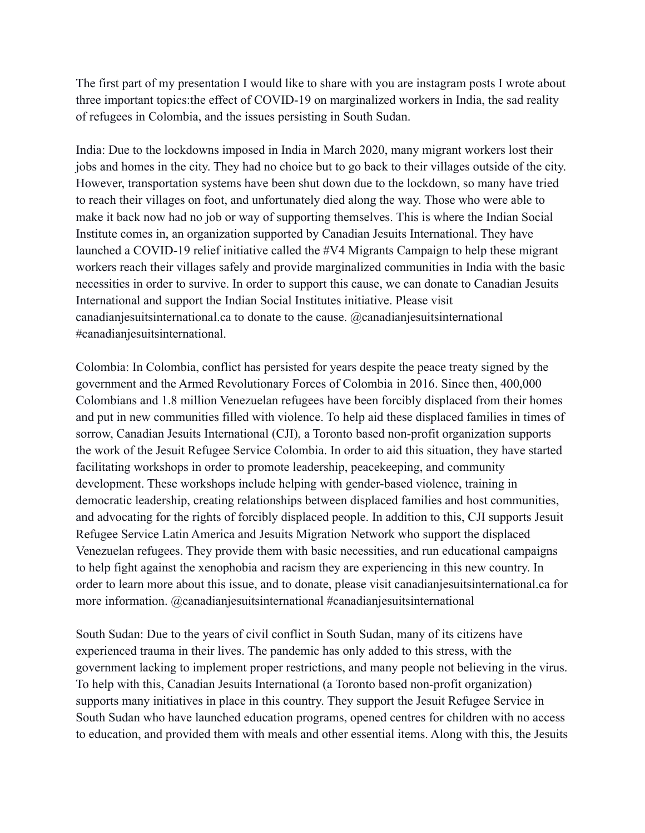The first part of my presentation I would like to share with you are instagram posts I wrote about three important topics:the effect of COVID-19 on marginalized workers in India, the sad reality of refugees in Colombia, and the issues persisting in South Sudan.

India: Due to the lockdowns imposed in India in March 2020, many migrant workers lost their jobs and homes in the city. They had no choice but to go back to their villages outside of the city. However, transportation systems have been shut down due to the lockdown, so many have tried to reach their villages on foot, and unfortunately died along the way. Those who were able to make it back now had no job or way of supporting themselves. This is where the Indian Social Institute comes in, an organization supported by Canadian Jesuits International. They have launched a COVID-19 relief initiative called the #V4 Migrants Campaign to help these migrant workers reach their villages safely and provide marginalized communities in India with the basic necessities in order to survive. In order to support this cause, we can donate to Canadian Jesuits International and support the Indian Social Institutes initiative. Please visit canadianjesuitsinternational.ca to donate to the cause. @canadianjesuitsinternational #canadianjesuitsinternational.

Colombia: In Colombia, conflict has persisted for years despite the peace treaty signed by the government and the Armed Revolutionary Forces of Colombia in 2016. Since then, 400,000 Colombians and 1.8 million Venezuelan refugees have been forcibly displaced from their homes and put in new communities filled with violence. To help aid these displaced families in times of sorrow, Canadian Jesuits International (CJI), a Toronto based non-profit organization supports the work of the Jesuit Refugee Service Colombia. In order to aid this situation, they have started facilitating workshops in order to promote leadership, peacekeeping, and community development. These workshops include helping with gender-based violence, training in democratic leadership, creating relationships between displaced families and host communities, and advocating for the rights of forcibly displaced people. In addition to this, CJI supports Jesuit Refugee Service Latin America and Jesuits Migration Network who support the displaced Venezuelan refugees. They provide them with basic necessities, and run educational campaigns to help fight against the xenophobia and racism they are experiencing in this new country. In order to learn more about this issue, and to donate, please visit canadianjesuitsinternational.ca for more information. @canadianjesuitsinternational #canadianjesuitsinternational

South Sudan: Due to the years of civil conflict in South Sudan, many of its citizens have experienced trauma in their lives. The pandemic has only added to this stress, with the government lacking to implement proper restrictions, and many people not believing in the virus. To help with this, Canadian Jesuits International (a Toronto based non-profit organization) supports many initiatives in place in this country. They support the Jesuit Refugee Service in South Sudan who have launched education programs, opened centres for children with no access to education, and provided them with meals and other essential items. Along with this, the Jesuits